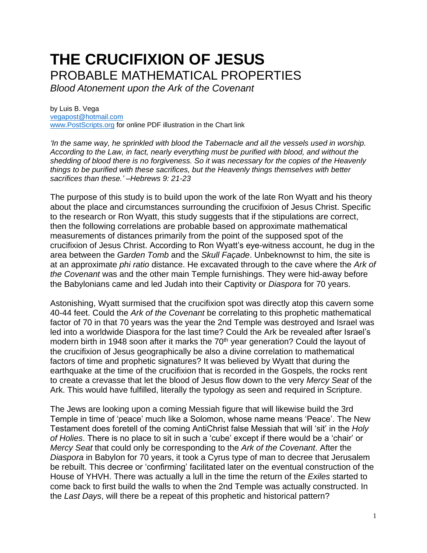## **THE CRUCIFIXION OF JESUS** PROBABLE MATHEMATICAL PROPERTIES

*Blood Atonement upon the Ark of the Covenant*

by Luis B. Vega [vegapost@hotmail.com](mailto:vegapost@hotmail.com) [www.PostScripts.org](http://www.postscripts.org/) for online PDF illustration in the Chart link

*'In the same way, he sprinkled with blood the Tabernacle and all the vessels used in worship. According to the Law, in fact, nearly everything must be purified with blood, and without the shedding of blood there is no forgiveness. So it was necessary for the copies of the Heavenly things to be purified with these sacrifices, but the Heavenly things themselves with better sacrifices than these.' –Hebrews 9: 21-23* 

The purpose of this study is to build upon the work of the late Ron Wyatt and his theory about the place and circumstances surrounding the crucifixion of Jesus Christ. Specific to the research or Ron Wyatt, this study suggests that if the stipulations are correct, then the following correlations are probable based on approximate mathematical measurements of distances primarily from the point of the supposed spot of the crucifixion of Jesus Christ. According to Ron Wyatt's eye-witness account, he dug in the area between the *Garden Tomb* and the *Skull Façade*. Unbeknownst to him, the site is at an approximate *phi ratio* distance. He excavated through to the cave where the *Ark of the Covenant* was and the other main Temple furnishings. They were hid-away before the Babylonians came and led Judah into their Captivity or *Diaspora* for 70 years.

Astonishing, Wyatt surmised that the crucifixion spot was directly atop this cavern some 40-44 feet. Could the *Ark of the Covenant* be correlating to this prophetic mathematical factor of 70 in that 70 years was the year the 2nd Temple was destroyed and Israel was led into a worldwide Diaspora for the last time? Could the Ark be revealed after Israel's modern birth in 1948 soon after it marks the 70<sup>th</sup> year generation? Could the layout of the crucifixion of Jesus geographically be also a divine correlation to mathematical factors of time and prophetic signatures? It was believed by Wyatt that during the earthquake at the time of the crucifixion that is recorded in the Gospels, the rocks rent to create a crevasse that let the blood of Jesus flow down to the very *Mercy Seat* of the Ark. This would have fulfilled, literally the typology as seen and required in Scripture.

The Jews are looking upon a coming Messiah figure that will likewise build the 3rd Temple in time of 'peace' much like a Solomon, whose name means 'Peace'. The New Testament does foretell of the coming AntiChrist false Messiah that will 'sit' in the *Holy of Holies*. There is no place to sit in such a 'cube' except if there would be a 'chair' or *Mercy Seat* that could only be corresponding to the *Ark of the Covenant*. After the *Diaspora* in Babylon for 70 years, it took a Cyrus type of man to decree that Jerusalem be rebuilt. This decree or 'confirming' facilitated later on the eventual construction of the House of YHVH. There was actually a lull in the time the return of the *Exiles* started to come back to first build the walls to when the 2nd Temple was actually constructed. In the *Last Days*, will there be a repeat of this prophetic and historical pattern?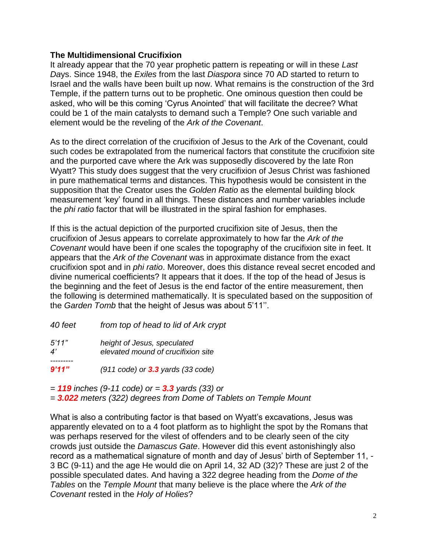## **The Multidimensional Crucifixion**

It already appear that the 70 year prophetic pattern is repeating or will in these *Last Da*ys. Since 1948, the *Exiles* from the last *Diaspora* since 70 AD started to return to Israel and the walls have been built up now. What remains is the construction of the 3rd Temple, if the pattern turns out to be prophetic. One ominous question then could be asked, who will be this coming 'Cyrus Anointed' that will facilitate the decree? What could be 1 of the main catalysts to demand such a Temple? One such variable and element would be the reveling of the *Ark of the Covenant*.

As to the direct correlation of the crucifixion of Jesus to the Ark of the Covenant, could such codes be extrapolated from the numerical factors that constitute the crucifixion site and the purported cave where the Ark was supposedly discovered by the late Ron Wyatt? This study does suggest that the very crucifixion of Jesus Christ was fashioned in pure mathematical terms and distances. This hypothesis would be consistent in the supposition that the Creator uses the *Golden Ratio* as the elemental building block measurement 'key' found in all things. These distances and number variables include the *phi ratio* factor that will be illustrated in the spiral fashion for emphases.

If this is the actual depiction of the purported crucifixion site of Jesus, then the crucifixion of Jesus appears to correlate approximately to how far the *Ark of the Covenant* would have been if one scales the topography of the crucifixion site in feet. It appears that the *Ark of the Covenant* was in approximate distance from the exact crucifixion spot and in *phi ratio*. Moreover, does this distance reveal secret encoded and divine numerical coefficients? It appears that it does. If the top of the head of Jesus is the beginning and the feet of Jesus is the end factor of the entire measurement, then the following is determined mathematically. It is speculated based on the supposition of the *Garden Tomb* that the height of Jesus was about 5'11''.

| 40 feet                          | from top of head to lid of Ark crypt                              |
|----------------------------------|-------------------------------------------------------------------|
| 5'11''<br>$\mathcal{A}^{\prime}$ | height of Jesus, speculated<br>elevated mound of crucifixion site |
| 9'11''                           | $(911 \text{ code})$ or $3.3$ yards $(33 \text{ code})$           |

*= 119 inches (9-11 code) or = 3.3 yards (33) or = 3.022 meters (322) degrees from Dome of Tablets on Temple Mount*

What is also a contributing factor is that based on Wyatt's excavations, Jesus was apparently elevated on to a 4 foot platform as to highlight the spot by the Romans that was perhaps reserved for the vilest of offenders and to be clearly seen of the city crowds just outside the *Damascus Gate*. However did this event astonishingly also record as a mathematical signature of month and day of Jesus' birth of September 11, - 3 BC (9-11) and the age He would die on April 14, 32 AD (32)? These are just 2 of the possible speculated dates. And having a 322 degree heading from the *Dome of the Tables* on the *Temple Mount* that many believe is the place where the *Ark of the Covenant* rested in the *Holy of Holies*?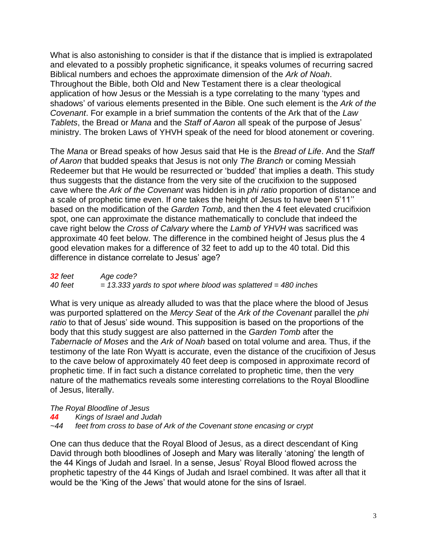What is also astonishing to consider is that if the distance that is implied is extrapolated and elevated to a possibly prophetic significance, it speaks volumes of recurring sacred Biblical numbers and echoes the approximate dimension of the *Ark of Noah*. Throughout the Bible, both Old and New Testament there is a clear theological application of how Jesus or the Messiah is a type correlating to the many 'types and shadows' of various elements presented in the Bible. One such element is the *Ark of the Covenant*. For example in a brief summation the contents of the Ark that of the *Law Tablets*, the Bread or *Mana* and the *Staff of Aaron* all speak of the purpose of Jesus' ministry. The broken Laws of YHVH speak of the need for blood atonement or covering.

The *Mana* or Bread speaks of how Jesus said that He is the *Bread of Life*. And the *Staff of Aaron* that budded speaks that Jesus is not only *The Branch* or coming Messiah Redeemer but that He would be resurrected or 'budded' that implies a death. This study thus suggests that the distance from the very site of the crucifixion to the supposed cave where the *Ark of the Covenant* was hidden is in *phi ratio* proportion of distance and a scale of prophetic time even. If one takes the height of Jesus to have been 5'11'' based on the modification of the *Garden Tomb*, and then the 4 feet elevated crucifixion spot, one can approximate the distance mathematically to conclude that indeed the cave right below the *Cross of Calvary* where the *Lamb of YHVH* was sacrificed was approximate 40 feet below. The difference in the combined height of Jesus plus the 4 good elevation makes for a difference of 32 feet to add up to the 40 total. Did this difference in distance correlate to Jesus' age?

*32 feet Age code? 40 feet = 13.333 yards to spot where blood was splattered = 480 inches*

What is very unique as already alluded to was that the place where the blood of Jesus was purported splattered on the *Mercy Seat* of the *Ark of the Covenant* parallel the *phi ratio* to that of Jesus' side wound. This supposition is based on the proportions of the body that this study suggest are also patterned in the *Garden Tomb* after the *Tabernacle of Moses* and the *Ark of Noah* based on total volume and area. Thus, if the testimony of the late Ron Wyatt is accurate, even the distance of the crucifixion of Jesus to the cave below of approximately 40 feet deep is composed in approximate record of prophetic time. If in fact such a distance correlated to prophetic time, then the very nature of the mathematics reveals some interesting correlations to the Royal Bloodline of Jesus, literally.

*The Royal Bloodline of Jesus*

*44 Kings of Israel and Judah*

*~44 feet from cross to base of Ark of the Covenant stone encasing or crypt*

One can thus deduce that the Royal Blood of Jesus, as a direct descendant of King David through both bloodlines of Joseph and Mary was literally 'atoning' the length of the 44 Kings of Judah and Israel. In a sense, Jesus' Royal Blood flowed across the prophetic tapestry of the 44 Kings of Judah and Israel combined. It was after all that it would be the 'King of the Jews' that would atone for the sins of Israel.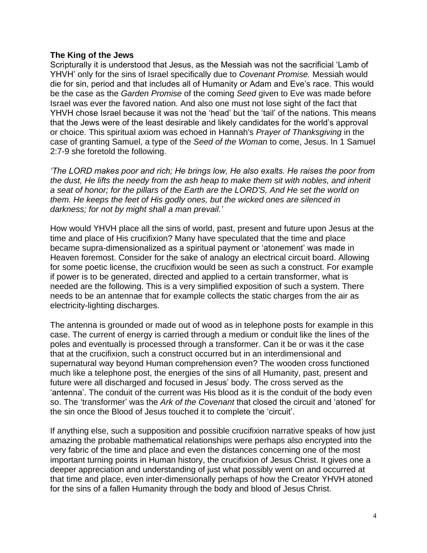## **The King of the Jews**

Scripturally it is understood that Jesus, as the Messiah was not the sacrificial 'Lamb of YHVH' only for the sins of Israel specifically due to *Covenant Promise.* Messiah would die for sin, period and that includes all of Humanity or Adam and Eve's race. This would be the case as the *Garden Promise* of the coming *Seed* given to Eve was made before Israel was ever the favored nation. And also one must not lose sight of the fact that YHVH chose Israel because it was not the 'head' but the 'tail' of the nations. This means that the Jews were of the least desirable and likely candidates for the world's approval or choice. This spiritual axiom was echoed in Hannah's *Prayer of Thanksgiving* in the case of granting Samuel, a type of the *Seed of the Woman* to come, Jesus. In 1 Samuel 2:7-9 she foretold the following.

*'The LORD makes poor and rich; He brings low, He also exalts. He raises the poor from the dust, He lifts the needy from the ash heap to make them sit with nobles, and inherit a seat of honor; for the pillars of the Earth are the LORD'S, And He set the world on them. He keeps the feet of His godly ones, but the wicked ones are silenced in darkness; for not by might shall a man prevail.'*

How would YHVH place all the sins of world, past, present and future upon Jesus at the time and place of His crucifixion? Many have speculated that the time and place became supra-dimensionalized as a spiritual payment or 'atonement' was made in Heaven foremost. Consider for the sake of analogy an electrical circuit board. Allowing for some poetic license, the crucifixion would be seen as such a construct. For example if power is to be generated, directed and applied to a certain transformer, what is needed are the following. This is a very simplified exposition of such a system. There needs to be an antennae that for example collects the static charges from the air as electricity-lighting discharges.

The antenna is grounded or made out of wood as in telephone posts for example in this case. The current of energy is carried through a medium or conduit like the lines of the poles and eventually is processed through a transformer. Can it be or was it the case that at the crucifixion, such a construct occurred but in an interdimensional and supernatural way beyond Human comprehension even? The wooden cross functioned much like a telephone post, the energies of the sins of all Humanity, past, present and future were all discharged and focused in Jesus' body. The cross served as the 'antenna'. The conduit of the current was His blood as it is the conduit of the body even so. The 'transformer' was the *Ark of the Covenant* that closed the circuit and 'atoned' for the sin once the Blood of Jesus touched it to complete the 'circuit'.

If anything else, such a supposition and possible crucifixion narrative speaks of how just amazing the probable mathematical relationships were perhaps also encrypted into the very fabric of the time and place and even the distances concerning one of the most important turning points in Human history, the crucifixion of Jesus Christ. It gives one a deeper appreciation and understanding of just what possibly went on and occurred at that time and place, even inter-dimensionally perhaps of how the Creator YHVH atoned for the sins of a fallen Humanity through the body and blood of Jesus Christ.